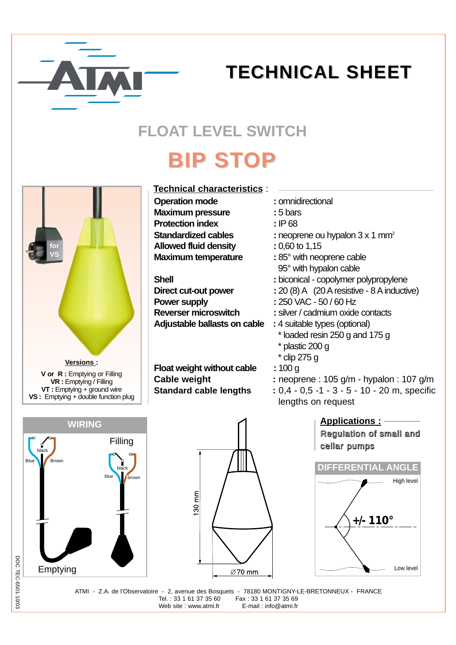

## **TECHNICAL TECHNICAL SHEET**

### **FLOAT LEVEL SWITCH**

# **BIP STOP**

| for<br>VS                                                                                                                   |  |
|-----------------------------------------------------------------------------------------------------------------------------|--|
| Versions:                                                                                                                   |  |
| V or R : Emptying or Filling<br>VR: Emptying / Filling<br>VT: Emptying + ground wire<br>VS: Emptying + double function plug |  |

#### **Operation mode : omnidirectional Maximum pressure : 5 bars Protection index : IP 68 Standardized cables : neoprene ou hypalon 3 x 1 mm<sup>2</sup> Allowed fluid density :** 0,60 to 1,15 **Maximum temperature : 85° with neoprene cable** 95° with hypalon cable **Shell** : biconical - copolymer polypropylene **Direct cut-out power :** 20 (8) A (20 A resistive - 8 A inductive) **Power supply : 250 VAC - 50 / 60 Hz Reverser microswitch :** silver / cadmium oxide contacts **Adjustable ballasts on cable :** 4 suitable types (optional) \* loaded resin 250 g and 175 g \* plastic 200 g \* clip 275 g **Float weight without cable : 100 g Cable weight :** neoprene : 105 g/m - hypalon : 107 g/m **Standard cable lengths : 0,4 - 0,5 -1 - 3 - 5 - 10 - 20 m, specific** lengths on request **Technical characteristics** :









ATMI - Z.A. de l'Observatoire - 2, avenue des Bosquets - 78180 MONTIGNY-LE-BRETONNEUX - FRANCE Tel. : 33 1 61 37 35 60 Fax : 33 1 61 37 35 69 Web site : www.atmi.fr E-mail : info@atmi.fr